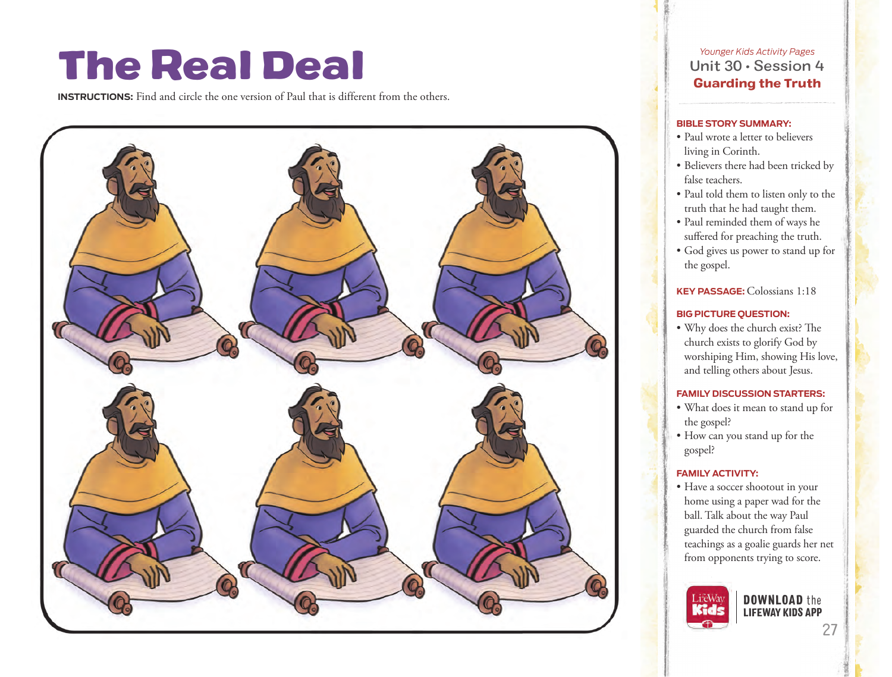# The Real Deal

**INSTRUCTIONS:** Find and circle the one version of Paul that is different from the others.



*Younger Kids Activity Pages* Unit 30 • Session 4 Guarding the Truth

### **BIBLE STORY SUMMARY:**

- Paul wrote a letter to believers living in Corinth.
- Believers there had been tricked by false teachers.
- Paul told them to listen only to the truth that he had taught them.
- Paul reminded them of ways he suffered for preaching the truth.
- God gives us power to stand up for the gospel.

**KEY PASSAGE:**Colossians 1:18

# **BIG PICTURE QUESTION:**

• Why does the church exist? The church exists to glorify God by worshiping Him, showing His love, and telling others about Jesus.

### **FAMILY DISCUSSION STARTERS:**

- What does it mean to stand up for the gospel?
- How can you stand up for the gospel?

# **FAMILY ACTIVITY:**

• Have a soccer shootout in your home using a paper wad for the ball. Talk about the way Paul guarded the church from false teachings as a goalie guards her net from opponents trying to score.